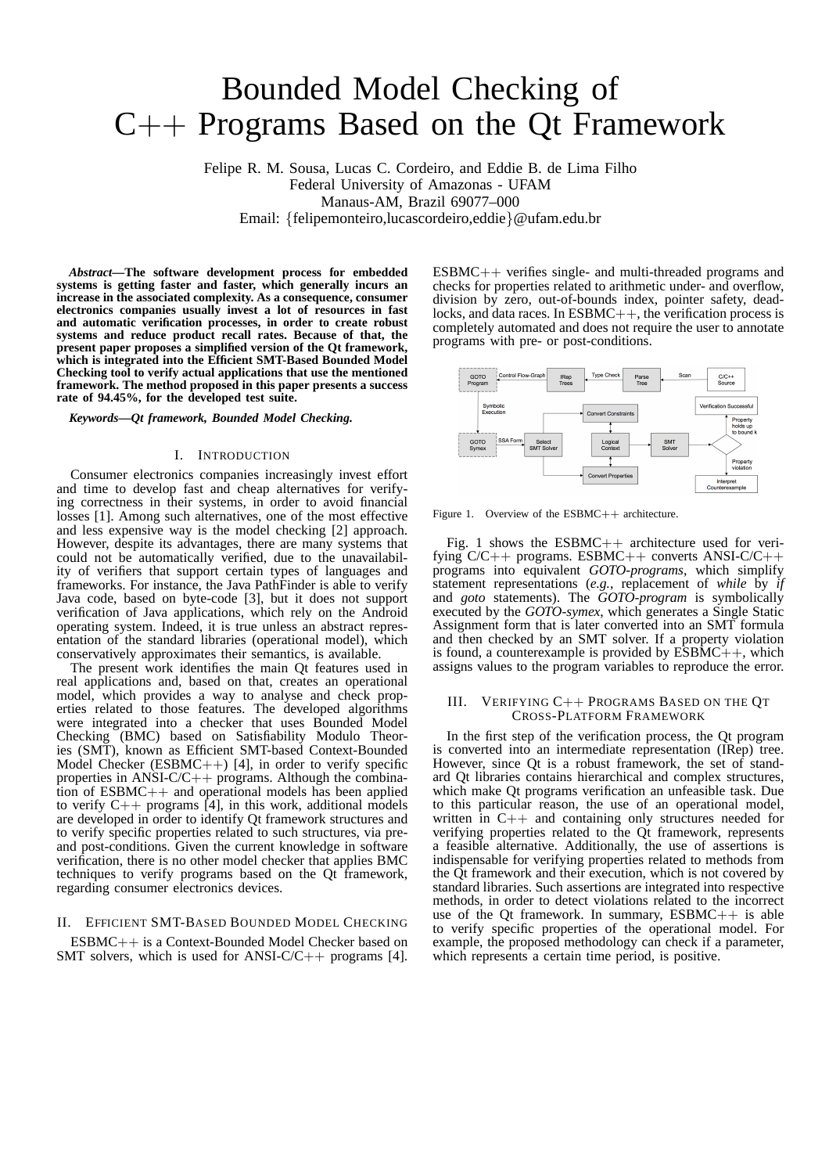# Bounded Model Checking of C++ Programs Based on the Qt Framework

Felipe R. M. Sousa, Lucas C. Cordeiro, and Eddie B. de Lima Filho Federal University of Amazonas - UFAM Manaus-AM, Brazil 69077–000 Email: {felipemonteiro,lucascordeiro,eddie}@ufam.edu.br

*Abstract***—The software development process for embedded systems is getting faster and faster, which generally incurs an increase in the associated complexity. As a consequence, consumer electronics companies usually invest a lot of resources in fast and automatic verification processes, in order to create robust systems and reduce product recall rates. Because of that, the present paper proposes a simplified version of the Qt framework, which is integrated into the Efficient SMT-Based Bounded Model Checking tool to verify actual applications that use the mentioned framework. The method proposed in this paper presents a success rate of 94.45%, for the developed test suite.**

*Keywords***—***Qt framework, Bounded Model Checking.*

## I. INTRODUCTION

Consumer electronics companies increasingly invest effort and time to develop fast and cheap alternatives for verifying correctness in their systems, in order to avoid financial losses [1]. Among such alternatives, one of the most effective and less expensive way is the model checking [2] approach. However, despite its advantages, there are many systems that could not be automatically verified, due to the unavailability of verifiers that support certain types of languages and frameworks. For instance, the Java PathFinder is able to verify Java code, based on byte-code [3], but it does not support verification of Java applications, which rely on the Android operating system. Indeed, it is true unless an abstract representation of the standard libraries (operational model), which conservatively approximates their semantics, is available.

The present work identifies the main Qt features used in real applications and, based on that, creates an operational model, which provides a way to analyse and check properties related to those features. The developed algorithms were integrated into a checker that uses Bounded Model Checking (BMC) based on Satisfiability Modulo Theories (SMT), known as Efficient SMT-based Context-Bounded Model Checker (ESBMC++) [4], in order to verify specific properties in ANSI-C/C++ programs. Although the combination of ESBMC++ and operational models has been applied to verify  $C++$  programs [4], in this work, additional models are developed in order to identify Qt framework structures and to verify specific properties related to such structures, via preand post-conditions. Given the current knowledge in software verification, there is no other model checker that applies BMC techniques to verify programs based on the Qt framework, regarding consumer electronics devices.

## II. EFFICIENT SMT-BASED BOUNDED MODEL CHECKING

ESBMC++ is a Context-Bounded Model Checker based on SMT solvers, which is used for ANSI-C/C++ programs [4]. ESBMC++ verifies single- and multi-threaded programs and checks for properties related to arithmetic under- and overflow, division by zero, out-of-bounds index, pointer safety, deadlocks, and data races. In ESBMC++, the verification process is completely automated and does not require the user to annotate programs with pre- or post-conditions.



Figure 1. Overview of the ESBMC++ architecture.

Fig. 1 shows the  $ESBMC++$  architecture used for verifying C/C++ programs. ESBMC++ converts ANSI-C/C++ programs into equivalent *GOTO-programs*, which simplify statement representations (*e.g.*, replacement of *while* by *if* and *goto* statements). The *GOTO-program* is symbolically executed by the *GOTO-symex*, which generates a Single Static Assignment form that is later converted into an SMT formula and then checked by an SMT solver. If a property violation is found, a counterexample is provided by  $\overline{ESBMC}$ ++, which assigns values to the program variables to reproduce the error.

### III. VERIFYING C++ PROGRAMS BASED ON THE QT CROSS-PLATFORM FRAMEWORK

In the first step of the verification process, the Qt program is converted into an intermediate representation (IRep) tree. However, since Qt is a robust framework, the set of standard Qt libraries contains hierarchical and complex structures, which make Qt programs verification an unfeasible task. Due to this particular reason, the use of an operational model, written in  $C++$  and containing only structures needed for verifying properties related to the Qt framework, represents a feasible alternative. Additionally, the use of assertions is indispensable for verifying properties related to methods from the Qt framework and their execution, which is not covered by standard libraries. Such assertions are integrated into respective methods, in order to detect violations related to the incorrect use of the Qt framework. In summary,  $ESBMC++$  is able to verify specific properties of the operational model. For example, the proposed methodology can check if a parameter, which represents a certain time period, is positive.